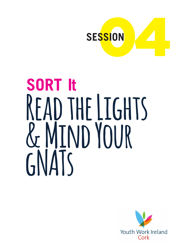

# **SORT It** READ THE LIGHTS **& Mind Your gNATs**

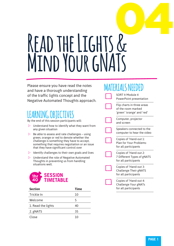# 04 **Read the Lights & Mind Your gNATs**

Please ensure you have read the notes and have a thorough understanding of the traffic lights concept and the Negative Automated Thoughts approach.

# **LEARNING OBJECTIVES**

By the end of this session participants will:

- $\triangleright$  Understand how to identify what they want from any given situation
- $\triangleright$  Be able to assess and rate challenges using green, orange or red to denote whether the challenge is something they have to accept, something that requires negotiation or an issue that they have significant control over
- $\triangleright$  Identify challenges to their own goals and lives
- $\triangleright$  Understand the role of Negative Automated Thoughts in preventing us from handling situations well.



| <b>Section</b>     | <b>Time</b> |  |
|--------------------|-------------|--|
| Trickle In         | 10          |  |
| Welcome            | 5           |  |
| 1. Read the lights | 40          |  |
| 2. gNATS           | 35          |  |
| Close              | 10          |  |

# **MATERIALS NEEDED**

SORT It Module 4 PowerPoint presentation

Flip charts in three areas of the room marked 'green' 'orange' and 'red'

Computer, projector and screen

Speakers connected to the computer to hear the video

Copies of 'Hand-out 1: Plan for Your Problemsfor all participants

Copies of 'Hand-out 2: 7 Different Types of gNATS for all participants

Copies of 'Hand-out 3: Challenge Their gNATS for all participants

Copies of 'Hand-out 4: Challenge Your gNATs for all participants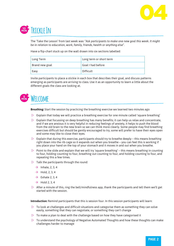

# **10 MIN Trickle In**

The 'Take the Lesson' from last week was: "*Ask participants to make one new goal this week. It might be in relation to education, work, family, friends, health or anything else".*

Have a flip-chart stuck up on the wall drawn into six sections labelled:

| Long Term      | Long term or short term |
|----------------|-------------------------|
| Brand new goal | Goal I had before       |
| Easy           | Difficult               |

Invite participants to place a stickie in each box that describes their goal, and discuss patterns emerging as participants are arriving to class. Use it as an opportunity to learn a little about the different goals the class are looking at.



**Breathing:** Start the session by practicing the breathing exercise we learned two minutes ago

- $\triangleright$  Explain that today we will practice a breathing exercise for one minute called 'square breathing'
- $\triangleright$  Explain that focussing on deep breathing has many benefits; it can help us relax and concentrate, and if we are anxious it is very helpful in reducing feelings of anxiety, it helps to push the blood from the old brain to the new brain so we can think more clearly. Some people may find breathing exercises difficult but should be gently encouraged to try, some will prefer to have their eyes open and some may like to close their eyes.
- $\triangleright$  Explain that during this exercise, participants should try to breathe deeply this means breathing right down into the rib cage so it expands out when you breathe – you can feel this is working if you place your hand on the top of your stomach and it moves in and out when you breathe.
- $\triangleright$  Point to the slide and explain that we will try 'square breathing' this means breathing in counting to four, holding counting to four, breathing out counting to four, and holding counting to four, and repeating this a few times.
- $\triangleright$  Talk the participants through the round:
	- $\rightarrow$  Inhale, 2, 3, 4
	- $\rightarrow$  Hold, 2, 3, 4
	- $\rightarrow$  Exhale 2, 3, 4
	- $\rightarrow$  Hold 2, 3, 4
- $\triangleright$  After a minute of this, ring the bell/mindfulness app, thank the participants and tell them we'll get started with the session.

**Introduction:** Remind participants that this is session four. In this session participants will learn:

- $\triangleright$  To look at challenges and difficult situations and categorise them as something they can solve easily, something that they can negotiate, or something they can't change
- $\triangleright$  To make a plan to deal with the challenge based on how they have categorised it
- $\triangleright$  To understand the psychology of Negative Automated Thoughts and how these thoughts can make challenges harder to manage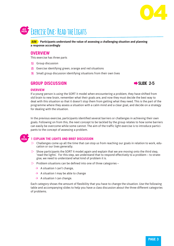



**AIM Participants understand the value of assessing a challenging situation and planning a response accordingly**

#### **OVERVIEW**

This exercise has three parts

- **1)** Group discussion
- **2)** Exercise identifying green, orange and red situations
- **3)** Small group discussion identifying situations from their own lives

#### **GROUP DISCUSSION** Æ**SLIDE 2-5**



#### **OVERVIEW**

If a young person is using the SORT it model when encountering a problem, they have shifted from old brain to new brain, remember what their goals are, and now they must decide the best way to deal with this situation so that it doesn't stop them from getting what they need. This is the part of the programme where they assess a situation with a calm mind and a clear goal, and decide on a strategy for dealing with the situation.

In the previous exercise, participants identified several barriers or challenges in achieving their own goals. Following on from this, the next concept to be tackled by the group relates to how some barriers can easily be overcome while some cannot. The aim of the traffic light exercise is to introduce participants to the concept of assessing a problem.

## **5**

#### **MIN 1 EXPLAIN THE LIGHTS AND BRIEF DISCUSSION**

- $\triangleright$  Challenges come up all the time that can stop us from reaching our goals in relation to work, education or our lives generally.
- Show participants the SORT It model again and explain that we are moving onto the third step, 'read the lights'. For this step, we understand that to respond effectively to a problem – to strategise, we need to understand what kind of problem it is.
- $\triangleright$  Problem situations can be defined into one of three categories
	- $\rightarrow$  A situation I can't change.
	- $\rightarrow$  A situation I may be able to change
	- $\rightarrow$  A situation I can change.

Each category shows the amount of flexibility that you have to change the situation. Use the following table and accompanying slides to help you have a class discussion about the three different categories of problems.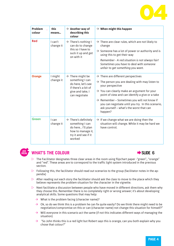

| <b>Problem</b><br>colour | this<br>means        | $\rightarrow$ Another way of<br>describing this<br>colour                                                                         | $\rightarrow$ When might this happen                                                                                                                                                                                                                                                                                                                                                                                    |
|--------------------------|----------------------|-----------------------------------------------------------------------------------------------------------------------------------|-------------------------------------------------------------------------------------------------------------------------------------------------------------------------------------------------------------------------------------------------------------------------------------------------------------------------------------------------------------------------------------------------------------------------|
| <b>Red</b>               | I can't<br>change it | $\rightarrow$ There's nothing I<br>can do to change<br>this so I have to<br>suck it up and get<br>on with it                      | $\rightarrow$ There are clear rules, which are not likely to<br>change<br>$\rightarrow$ Someone has a lot of power or authority and is<br>using this to get their way<br>Remember - A red situation is not always fair!<br>Sometimes you have to deal with someone<br>unfair to get something you want.                                                                                                                 |
| <b>Orange</b>            | I might<br>change it | $\rightarrow$ There might be<br>something I can<br>do here, let's see<br>if there's a bit of<br>give and take, I<br>can negotiate | $\rightarrow$ There are different perspectives<br>$\rightarrow$ The person you are dealing with may listen to<br>your perspective<br>$\rightarrow$ You can clearly make an argument for your<br>point of view and can identify a give or a take<br>$\rightarrow$ Remember – Sometimes you will not know if<br>you can negotiate until you try. In this scenario,<br>ask yourself - what's the worst that can<br>happen? |
| Green                    | I can<br>change it   | $\rightarrow$ There's definitely<br>something I can<br>do here I'll plan<br>how to manage it,<br>try it and see if it<br>worked   | $\rightarrow$ If we change what we are doing then the<br>situation will change. While it may be hard we<br>have control.                                                                                                                                                                                                                                                                                                |



#### **WHAT'S THE COLOUR ■ EXAMPLE 6**



- $\triangleright$  The Facilitator designates three clear areas in the room using flipchart paper -"green",, "orange" and "red". These areas are to correspond to the traffic light system introduced in the previous section.
- $\triangleright$  Following this, the facilitator should read out scenarios to the group (facilitator notes in the appendix)
- $\triangleright$  After reading out each story the facilitator should ask the class to move to the place which they believe represents the problem situation for the character in the vignette.
- $\triangleright$  Next facilitate a discussion between people who have moved in different directions, ask them why they choose this. Remember there is no completely right or wrong answer; it's about developing analytical skills. Some questions that may help:
	- $\rightarrow$  What is the problem facing (character name)?
	- $\rightarrow$  Ok, so do we think this is a problem he can fix quite easily? Do we think there might need to be negotiation/compromise on this or can (character name) not change this situation for himself?"
	- $\rightarrow$  Will everyone in this scenario act the same (if not this indicates different ways of managing the situation)
	- $\rightarrow$  "So John thinks this is a red light but Robert says this is orange, can you both explain why you chose that colour?"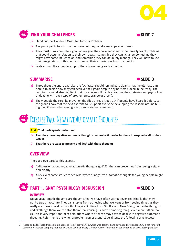



### **EIND YOUR CHALLENGES EXAMPLEMENT AND SLIDE 7**



- $\triangleright$  Ask participants to work on their own but they can discuss in pairs or threes
- $\triangleright$  They must think about their goal, or any goal they have and identify the three types of problems that could occur in relation to their own goals – something they can't change, something they might have some influence on, and something they can definitely manage. They will have to use their imagination for this but can draw on their experiences from the past too
- $\triangleright$  Walk around the group to support them in analysing each situation.

#### **SUMMARISE** Æ**SLIDE 8**



- **a)** Throughout the entire exercise, the facilitator should remind participants that the ultimate aim here is to decide how they can achieve their goals despite any barriers placed in their way. The facilitator should also highlight that this course will involve learning the strategies and psychology of dealing with each type of problem (red, orange or green).
- **b**) Show people the serenity prayer on the slide or read it out, ask if people have heard it before. Let the group know that the next exercise to is support everyone developing the wisdom around telling the difference between green, orange and red situations:

# **MINT EXERCISE TWO: NEGATIVE AUTOMATIC THOUGHTS1**

**AIM That participants understand:** 

- $\triangleright$  That they have negative automatic thoughts that make it harder for them to respond well to chal**lenges**
- $\triangleright$  That there are ways to prevent and deal with these thoughts

#### **OVERVIEW**

There are two parts to this exercise

- **a)** A discussion about negative automatic thoughts (gNATS) that can prevent us from seeing a situation clearly
- **b)** A review of some stories to see what types of negative automatic thoughts the young people might have had

#### **15 MINUS PART 1: GNAT PSYCHOLOGY DISCUSSION EXAMPLE 9**



#### **OVERVIEW**

Negative automatic thoughts are thoughts that we have, often without even realising it, that might not be true or accurate. They can stop us from achieving what we want or from seeing things as they really are. If we slow down our thinking (i.e. Shifting from Old Brain to New Brain), notice the thoughts and challenge them, we can stop them from causing us harm or making things even more difficult for us. This is very important for red situations where often we may have to deal with negative automatic thoughts. Referring to the 'when a problem comes along' slide, discuss the following psychology:

<sup>1</sup> Please add a footnote: this section is adapted from 'Pesky gNATs', which was designed and developed by Handaxe CIC, a not-for profit Community Interest Company founded by David Coyle and Gary O'Reilly. Further information can be found on www.peskygnats.com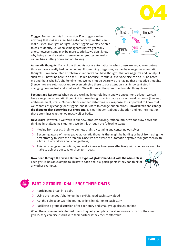



**Trigger:** Remember this from session 2? A trigger can be anything that makes us feel bad automatically, i.e. that can make us feel like fight or flight. Some triggers we may be able to easily identify, i.e. when some ignores us, we get really angry, however some may be more subtle i.e. we don't know why being around a certain person in our group/class makes us feel like shutting down and not talking.

**Automatic thoughts:** Many of our thoughts occur automatically, when these are negative or untrue this can have a really bad impact on us. If something triggers us, we can have negative automatic thoughts. If we encounter a problem situation we can have thoughts that are negative and unhelpful such as: 'I'll never be able to do this' 'I failed because I'm stupid' 'everyone else can do it', 'he hates me and that's why he's challenging me'. We may not be aware we are having these negative thoughts (hence they are automatic) and so even bringing these to our attention is an important step in changing how we feel and what we do. We will look at the types of automatic thoughts next.

**Feelings and Response:** When we are working in our old brain and we encounter a trigger, we can have a negative automatic thought. It is these thoughts which cause an emotional response (like fear, embarrassment, stress). Our emotions can then determine our response. It is important to know that we cannot easily change our triggers, and it is hard to change our emotions – **however we can change the thoughts that determine our emotions**. It is our thoughts about a situation and not the situation that determines whether we react well or badly.

**New Brain:** However, if we work in our new, problem solving, rational brain, we can slow down our thinking in challenging situations, we do this through the following steps;

- $\triangleright$  Moving from our old brain to our new brain, by calming and centering ourselves
- $\triangleright$  Becoming aware of the negative automatic thoughts that might be holding us back from using the best strategy to solve the problem. Once we are aware of automatic negative thoughts then (with a little bit of work) we can change these,
- $\triangleright$  This can change our emotions, and make it easier to engage effectively with choices we want to make to achieve our long or short term goals.

**Now Read through the 'Seven Different Types of gNATS' hand-out with the whole class**. Each gNATS has an example to illustrate each one, ask participants if they can think of any other examples.



### **MIN PART 2 STORIES: CHALLENGE THEIR GNATS**

 $\triangleright$  Participants break into pairs

**20**

- Using the handout 'challenge their gNATS, read each story aloud
- $\triangleright$  Ask the pairs to answer the four questions in relation to each story
- $\triangleright$  Facilitate a group discussion after each story and small group discussion time

When there is ten minutes left ask them to quietly complete the sheet on one or two of their own gNATS, they can discuss this with their partner if they feel comfortable.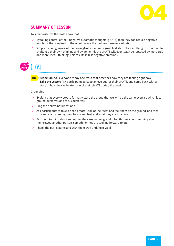

#### **SUMMARY OF LESSON**

To summarise, let the class know that:

- $\triangleright$  By taking control of their negative automatic thoughts (gNATS) then they can reduce negative emotions that can lead to them not having the best response to a situation.
- $\triangleright$  Simply by being aware of their own gNATs is a really great first step. The next thing to do is then to challenge their own thinking and by doing this the gNATS will eventually be replaced by more true and more useful thinking. This results in less negative emotions!



**AIM** Reflection: Ask everyone to say one word that describes how they are feeling right now **Take the Lesson:** Ask participants to keep an eye out for their gNATS, and come back with a story of how they've beaten one of their gNATS during the week

#### Grounding

- $\triangleright$  Explain that every week, to formally close the group that we will do the same exercise which is to ground ourselves and focus ourselves
- $\triangleright$  Ring the bell/mindfulness app
- $\triangleright$  Ask participants to take a deep breath, look at their feet and feel them on the ground, and then concentrate on feeling their hands and feet and what they are touching.
- $\triangleright$  Ask them to think about something they are feeling grateful for; this may be something about themselves, another person, something they are looking forward to etc.
- $\triangleright$  Thank the participants and wish them well until next week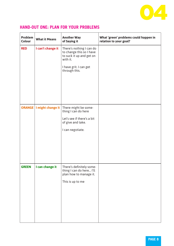

| Problem<br>Colour | <b>What it Means</b>              | <b>Another Way</b><br>of Saying it                                                                                                      | What 'green' problems could happen in<br>relation to your goal? |
|-------------------|-----------------------------------|-----------------------------------------------------------------------------------------------------------------------------------------|-----------------------------------------------------------------|
| <b>RED</b>        | I can't change it                 | There's nothing I can do<br>to change this so I have<br>to suck it up and get on<br>with it.<br>I have grit. I can get<br>through this. |                                                                 |
|                   | <b>ORANGE   I might change it</b> | There might be some-<br>thing I can do here<br>Let's see if there's a bit<br>of give and take.<br>I can negotiate.                      |                                                                 |
| <b>GREEN</b>      | I can change it                   | There's definitely some-<br>thing I can do here I'll<br>plan how to manage it.<br>This is up to me                                      |                                                                 |

#### **HAND-OUT ONE: PLAN FOR YOUR PROBLEMS**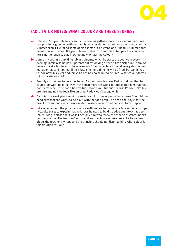

#### **FACILITATOR NOTES: WHAT COLOUR ARE THESE STORIES?**

- **a)** John is in 5th year. He has been focused on his girlfriend lately, as she has had some real problems going on with her family, as a result he has not done much study for his summer exams. He failed some of his exams at Christmas, and if he fails summer ones he may have to repeat the year. He really doesn't want this to happen. He's not sure he's smart enough to stay in school now. What's the colour?
- **b)** Jamie is working a part-time job in a cinema, which he starts at about 6pm every evening. Jamie also helps his parents out by looking after his little sister until 5pm. As he has to get a bus to work, he is regularly 15 minutes late for work every day. Jamie's manager has told him that if he is late one more time he will be fired, but Jamie has to look after his sister and thinks he has no choice but to be fired. What colour do you think this situation is?
- **c)** Brooklyn is training to be a mechanic. A month ago, his boss Paddy told him that he could start working directly with the customers this week, but today told him that he's not ready because he has a bad attitude. Brooklyn is furious because Paddy broke his promise and now he feels like quitting. Paddy won't budge on it.
- **d)** Carol is on a work placement in a restaurant kitchen as part of her course. She told the head chef that she wants to help out with the food prep. The head chef says that she hasn't proven that she can work under pressure so won't let her start food prep yet.
- **e)** Jake is called into the principal's office with his teacher who says Jake is being disruptive. Jake starts to explain that he knows he used to be disruptive but lately has been really trying in class and it wasn't actually him who threw the other classmates books out the window. The teachers' word is taken over his own. Jake feels like he will explode, the teacher is wrong and the principle should not listen to him. What colour is this situation for Jake?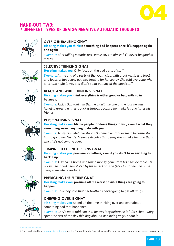

#### **HAND-OUT TWO: 7 DIFFERENT TYPES OF GNATS2 : NEGATIVE AUTOMATIC THOUGHTS**

| <b>OVER-GENERALISING GNAT</b><br>His sting makes you think: If something bad happens once, it'll happen again<br>and again<br>Example: after failing a maths test, Jamie says to himself 'I'll never be good at<br>maths'                                                                                                                            |
|------------------------------------------------------------------------------------------------------------------------------------------------------------------------------------------------------------------------------------------------------------------------------------------------------------------------------------------------------|
| <b>SELECTIVE THINKING GNAT</b><br>Her sting makes you: Only focus on the bad parts of stuff<br>Example: At the end of a party at the youth club, with great music and food<br>and loads of fun, Jenny got into trouble for horseplay. She told everyone what<br>a terrible night it was and didn't point out any of the good stuff.                  |
| <b>BLACK AND WHITE THINKING GNAT</b><br>His sting makes you: think everything is either good or bad, with no in<br>between.<br>Example: Jack's Dad told him that he didn't like one of the lads he was<br>hanging around with and Jack is furious because he thinks his dad hates his<br>friends.                                                    |
| <b>PERSONALISING GNAT</b><br>Her sting makes you: blame people for doing things to you, even if what they<br>were doing wasn't anything to do with you<br>Example: Jenny tells Melanie she can't come over that evening because she<br>has to go to her Nana's. Melanie decides that Jenny doesn't like her and that's<br>why she's not coming over. |
| <b>JUMPING TO CONCLUSIONS GNAT</b><br>His sting makes you: presume something, even if you don't have anything to<br>back it up<br>Example: Alex came home and found money gone from his bedside table. He<br>presumed it had been stolen by his sister Lorraine (Alex forgot he had put it<br>away somewhere earlier)                                |
| <b>PREDICTING THE FUTURE GNAT</b><br>Her sting makes you: presume all the worst possible things are going to<br>happen<br>Example: Courtney says that her brother's never going to get off drugs                                                                                                                                                     |
| <b>CHEWING OVER IT GNAT</b><br>His sting makes you: spend all the time thinking over and over about<br>something bad that happened<br>Example: Gary's mam told him that he was lazy before he left for school. Gary<br>spent the rest of the day thinking about it and being angry about it                                                          |

<sup>2</sup> This is adapted from www.peskygnats.com and the National Family Support Network's young people's support programme (www.nfsn.ie)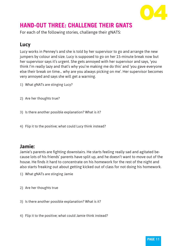

## **HAND-OUT THREE: CHALLENGE THEIR GNATS**

For each of the following stories, challenge their gNATS:

## **Lucy**

Lucy works in Penney's and she is told by her supervisor to go and arrange the new jumpers by colour and size. Lucy is supposed to go on her 15-minute break now but her supervisor says it's urgent. She gets annoyed with her supervisor and says, 'you think I'm really lazy and that's why you're making me do this' and 'you gave everyone else their break on time… why are you always picking on me'. Her supervisor becomes very annoyed and says she will get a warning.

- 1) What gNATs are stinging Lucy?
- 2) Are her thoughts true?
- 3) Is there another possible explanation? What is it?
- 4) Flip it to the positive; what could Lucy think instead?

#### **Jamie:**

Jamie's parents are fighting downstairs. He starts feeling really sad and agitated because lots of his friends' parents have split up, and he doesn't want to move out of the house. He finds it hard to concentrate on his homework for the rest of the night and also starts freaking out about getting kicked out of class for not doing his homework.

- 1) What gNATs are stinging Jamie
- 2) Are her thoughts true
- 3) Is there another possible explanation? What is it?
- 4) Flip it to the positive; what could Jamie think instead?